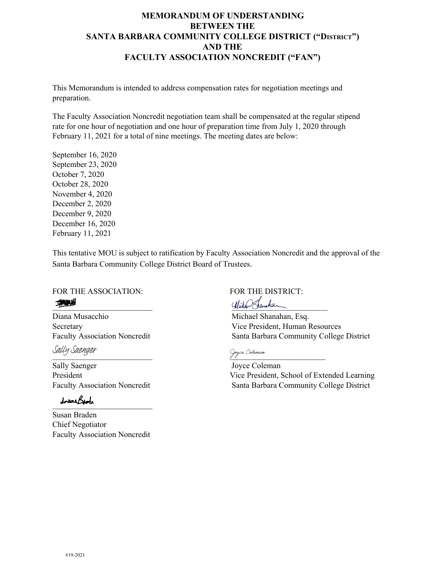## **MEMORANDUM OF UNDERSTANDING BETWEEN THE SANTA BARBARA COMMUNITY COLLEGE DISTRICT ("DISTRICT") AND THE FACULTY ASSOCIATION NONCREDIT ("FAN")**

This Memorandum is intended to address compensation rates for negotiation meetings and preparation.

The Faculty Association Noncredit negotiation team shall be compensated at the regular stipend rate for one hour of negotiation and one hour of preparation time from July 1, 2020 through February 11, 2021 for a total of nine meetings. The meeting dates are below:

September 16, 2020 September 23, 2020 October 7, 2020 October 28, 2020 November 4, 2020 December 2, 2020 December 9, 2020 December 16, 2020 February 11, 2021

This tentative MOU is subject to ratification by Faculty Association Noncredit and the approval of the Santa Barbara Community College District Board of Trustees.

FOR THE ASSOCIATION: FOR THE DISTRICT: to the long bound of the contract of the contract of the contract of the contract of the contract of the contract of the contract of the contract of the contract of the contract of the contract of the contract of the contr

Diana Musacchio Michael Shanahan, Esq.

Sally Saenger

Sally Saenger Joyce Coleman

[\\_\\_\\_\\_\\_\\_\\_\\_\\_\\_\\_\\_\\_\\_\\_\\_\\_\\_\\_\\_\\_\\_\\_\\_\\_](https://na2.documents.adobe.com/verifier?tx=CBJCHBCAABAA3FaA_4MwxsUMbjjL4QXA94ZmfC56i5dh)

Susan Braden Chief Negotiator Faculty Association Noncredit

Secretary Vice President, Human Resources Faculty Association Noncredit Santa Barbara Community College District

 $\frac{1}{2}$   $\frac{1}{2}$   $\frac{1}{2}$   $\frac{1}{2}$   $\frac{1}{2}$   $\frac{1}{2}$   $\frac{1}{2}$   $\frac{1}{2}$   $\frac{1}{2}$   $\frac{1}{2}$   $\frac{1}{2}$   $\frac{1}{2}$   $\frac{1}{2}$   $\frac{1}{2}$   $\frac{1}{2}$   $\frac{1}{2}$   $\frac{1}{2}$   $\frac{1}{2}$   $\frac{1}{2}$   $\frac{1}{2}$   $\frac{1}{2}$   $\frac{1}{2}$ 

President Vice President, School of Extended Learning Faculty Association Noncredit Santa Barbara Community College District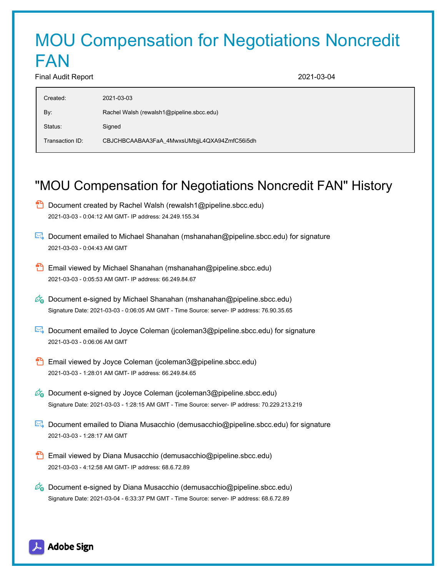## MOU Compensation for Negotiations Noncredit FAN

Final Audit Report 2021-03-04

| Created:        | 2021-03-03                                   |
|-----------------|----------------------------------------------|
| By:             | Rachel Walsh (rewalsh1@pipeline.sbcc.edu)    |
| Status:         | Signed                                       |
| Transaction ID: | CBJCHBCAABAA3FaA_4MwxsUMbjjL4QXA94ZmfC56i5dh |
|                 |                                              |

## "MOU Compensation for Negotiations Noncredit FAN" History

- **D** Document created by Rachel Walsh (rewalsh1@pipeline.sbcc.edu) 2021-03-03 - 0:04:12 AM GMT- IP address: 24.249.155.34
- Document emailed to Michael Shanahan (mshanahan@pipeline.sbcc.edu) for signature 2021-03-03 - 0:04:43 AM GMT
- **Email viewed by Michael Shanahan (mshanahan@pipeline.sbcc.edu)** 2021-03-03 - 0:05:53 AM GMT- IP address: 66.249.84.67
- $\mathcal{O}_0$  Document e-signed by Michael Shanahan (mshanahan@pipeline.sbcc.edu) Signature Date: 2021-03-03 - 0:06:05 AM GMT - Time Source: server- IP address: 76.90.35.65
- Document emailed to Joyce Coleman (jcoleman3@pipeline.sbcc.edu) for signature 2021-03-03 - 0:06:06 AM GMT
- **Email viewed by Joyce Coleman (jcoleman3@pipeline.sbcc.edu)** 2021-03-03 - 1:28:01 AM GMT- IP address: 66.249.84.65
- $\mathscr{O}_0$  Document e-signed by Joyce Coleman (jcoleman3@pipeline.sbcc.edu) Signature Date: 2021-03-03 - 1:28:15 AM GMT - Time Source: server- IP address: 70.229.213.219
- Document emailed to Diana Musacchio (demusacchio@pipeline.sbcc.edu) for signature 2021-03-03 - 1:28:17 AM GMT
- Email viewed by Diana Musacchio (demusacchio@pipeline.sbcc.edu) 2021-03-03 - 4:12:58 AM GMT- IP address: 68.6.72.89
- $\mathscr{O}_\bullet$  Document e-signed by Diana Musacchio (demusacchio@pipeline.sbcc.edu) Signature Date: 2021-03-04 - 6:33:37 PM GMT - Time Source: server- IP address: 68.6.72.89